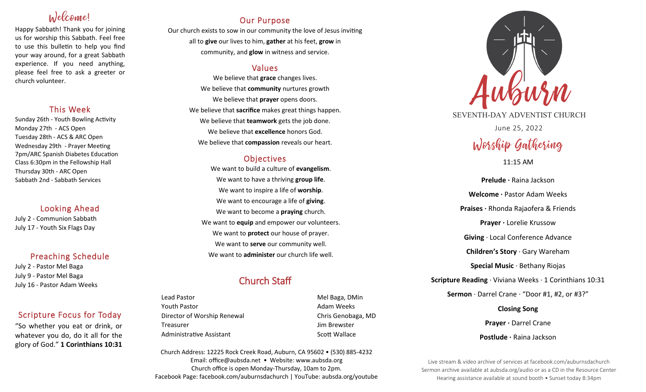# Welcome!

Happy Sabbath! Thank you for joining us for worship this Sabbath. Feel free to use this bulletin to help you find your way around, for a great Sabbath experience. If you need anything, please feel free to ask a greeter or church volunteer.

## This Week

Sunday 26th - Youth Bowling Activity Monday 27th - ACS Open Tuesday 28th - ACS & ARC Open Wednesday 29th - Prayer Meeting 7pm/ARC Spanish Diabetes Education Class 6:30pm in the Fellowship Hall Thursday 30th - ARC Open Sabbath 2nd - Sabbath Services

## Looking Ahead

July 2 - Communion Sabbath July 17 - Youth Six Flags Day

## Preaching Schedule

July 2 - Pastor Mel Baga July 9 - Pastor Mel Baga July 16 - Pastor Adam Weeks

## Scripture Focus for Today

"So whether you eat or drink, or whatever you do, do it all for the glory of God." **1 Corinthians 10:31** 

## Our Purpose

Our church exists to sow in our community the love of Jesus inviting all to **give** our lives to him, **gather** at his feet, **grow** in community, and **glow** in witness and service.

## Values

We believe that **grace** changes lives. We believe that **community** nurtures growth We believe that **prayer** opens doors. We believe that **sacrifice** makes great things happen. We believe that **teamwork** gets the job done. We believe that **excellence** honors God. We believe that **compassion** reveals our heart.

## **Objectives**

We want to build a culture of **evangelism**. We want to have a thriving **group life**. We want to inspire a life of **worship**. We want to encourage a life of **giving**. We want to become a **praying** church. We want to **equip** and empower our volunteers. We want to **protect** our house of prayer. We want to **serve** our community well. We want to **administer** our church life well.

## Church Staff

Lead Pastor Nell Baga, DMin Youth Pastor **Adam Weeks Adam Weeks** Director of Worship Renewal **Chris Genobaga**, MD Treasurer Jim Brewster Administrative Assistant **Scott Wallace** Scott Wallace

Church Address: 12225 Rock Creek Road, Auburn, CA 95602 • (530) 885-4232 Email: office@aubsda.net • Website: www.aubsda.org Church office is open Monday-Thursday, 10am to 2pm. Facebook Page: facebook.com/auburnsdachurch | YouTube: aubsda.org/youtube



SEVENTH-DAY ADVENTIST CHURCH June 25, 2022

# Worship Gathering

### 11:15 AM

**Prelude ·** Raina Jackson **Welcome ·** Pastor Adam Weeks **Praises ·** Rhonda Rajaofera & Friends **Prayer ·** Lorelie Krussow **Giving** · Local Conference Advance **Children's Story** · Gary Wareham **Special Music** · Bethany Riojas **Scripture Reading** · Viviana Weeks · 1 Corinthians 10:31 **Sermon** · Darrel Crane · "Door #1, #2, or #3?" **Closing Song**

> **Prayer · Darrel Crane Postlude ·** Raina Jackson

Live stream & video archive of services at facebook.com/auburnsdachurch Sermon archive available at aubsda.org/audio or as a CD in the Resource Center Hearing assistance available at sound booth • Sunset today 8:34pm